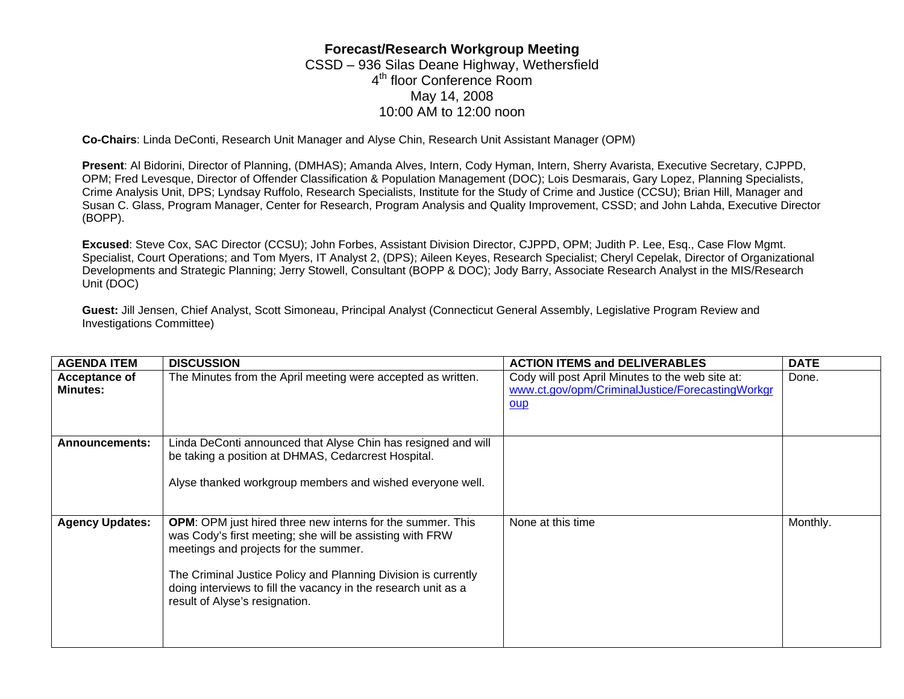## **Forecast/Research Workgroup Meeting**  CSSD – 936 Silas Deane Highway, Wethersfield 4<sup>th</sup> floor Conference Room May 14, 2008 10:00 AM to 12:00 noon

**Co-Chairs**: Linda DeConti, Research Unit Manager and Alyse Chin, Research Unit Assistant Manager (OPM)

**Present**: Al Bidorini, Director of Planning, (DMHAS); Amanda Alves, Intern, Cody Hyman, Intern, Sherry Avarista, Executive Secretary, CJPPD, OPM; Fred Levesque, Director of Offender Classification & Population Management (DOC); Lois Desmarais, Gary Lopez, Planning Specialists, Crime Analysis Unit, DPS; Lyndsay Ruffolo, Research Specialists, Institute for the Study of Crime and Justice (CCSU); Brian Hill, Manager and Susan C. Glass, Program Manager, Center for Research, Program Analysis and Quality Improvement, CSSD; and John Lahda, Executive Director (BOPP).

**Excused**: Steve Cox, SAC Director (CCSU); John Forbes, Assistant Division Director, CJPPD, OPM; Judith P. Lee, Esq., Case Flow Mgmt. Specialist, Court Operations; and Tom Myers, IT Analyst 2, (DPS); Aileen Keyes, Research Specialist; Cheryl Cepelak, Director of Organizational Developments and Strategic Planning; Jerry Stowell, Consultant (BOPP & DOC); Jody Barry, Associate Research Analyst in the MIS/Research Unit (DOC)

**Guest:** Jill Jensen, Chief Analyst, Scott Simoneau, Principal Analyst (Connecticut General Assembly, Legislative Program Review and Investigations Committee)

| <b>AGENDA ITEM</b>               | <b>DISCUSSION</b>                                                                                                                                                                                                                                                                                                                            | <b>ACTION ITEMS and DELIVERABLES</b>                                                                               | <b>DATE</b> |
|----------------------------------|----------------------------------------------------------------------------------------------------------------------------------------------------------------------------------------------------------------------------------------------------------------------------------------------------------------------------------------------|--------------------------------------------------------------------------------------------------------------------|-------------|
| Acceptance of<br><b>Minutes:</b> | The Minutes from the April meeting were accepted as written.                                                                                                                                                                                                                                                                                 | Cody will post April Minutes to the web site at:<br>www.ct.gov/opm/CriminalJustice/ForecastingWorkgr<br><u>oup</u> | Done.       |
| <b>Announcements:</b>            | Linda DeConti announced that Alyse Chin has resigned and will<br>be taking a position at DHMAS, Cedarcrest Hospital.<br>Alyse thanked workgroup members and wished everyone well.                                                                                                                                                            |                                                                                                                    |             |
| <b>Agency Updates:</b>           | <b>OPM:</b> OPM just hired three new interns for the summer. This<br>was Cody's first meeting; she will be assisting with FRW<br>meetings and projects for the summer.<br>The Criminal Justice Policy and Planning Division is currently<br>doing interviews to fill the vacancy in the research unit as a<br>result of Alyse's resignation. | None at this time                                                                                                  | Monthly.    |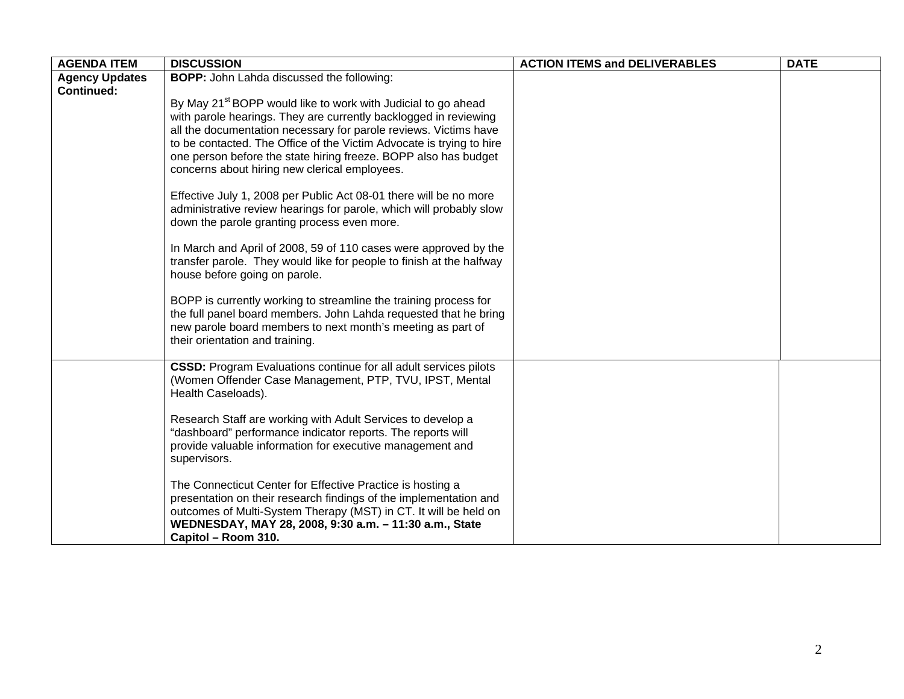| <b>AGENDA ITEM</b>    | <b>DISCUSSION</b>                                                                                                                             | <b>ACTION ITEMS and DELIVERABLES</b> | <b>DATE</b> |
|-----------------------|-----------------------------------------------------------------------------------------------------------------------------------------------|--------------------------------------|-------------|
| <b>Agency Updates</b> | <b>BOPP:</b> John Lahda discussed the following:                                                                                              |                                      |             |
| <b>Continued:</b>     |                                                                                                                                               |                                      |             |
|                       | By May 21 <sup>st</sup> BOPP would like to work with Judicial to go ahead<br>with parole hearings. They are currently backlogged in reviewing |                                      |             |
|                       | all the documentation necessary for parole reviews. Victims have                                                                              |                                      |             |
|                       | to be contacted. The Office of the Victim Advocate is trying to hire                                                                          |                                      |             |
|                       | one person before the state hiring freeze. BOPP also has budget                                                                               |                                      |             |
|                       | concerns about hiring new clerical employees.                                                                                                 |                                      |             |
|                       |                                                                                                                                               |                                      |             |
|                       | Effective July 1, 2008 per Public Act 08-01 there will be no more<br>administrative review hearings for parole, which will probably slow      |                                      |             |
|                       | down the parole granting process even more.                                                                                                   |                                      |             |
|                       |                                                                                                                                               |                                      |             |
|                       | In March and April of 2008, 59 of 110 cases were approved by the                                                                              |                                      |             |
|                       | transfer parole. They would like for people to finish at the halfway<br>house before going on parole.                                         |                                      |             |
|                       |                                                                                                                                               |                                      |             |
|                       | BOPP is currently working to streamline the training process for                                                                              |                                      |             |
|                       | the full panel board members. John Lahda requested that he bring                                                                              |                                      |             |
|                       | new parole board members to next month's meeting as part of                                                                                   |                                      |             |
|                       | their orientation and training.                                                                                                               |                                      |             |
|                       | <b>CSSD:</b> Program Evaluations continue for all adult services pilots                                                                       |                                      |             |
|                       | (Women Offender Case Management, PTP, TVU, IPST, Mental                                                                                       |                                      |             |
|                       | Health Caseloads).                                                                                                                            |                                      |             |
|                       | Research Staff are working with Adult Services to develop a                                                                                   |                                      |             |
|                       | "dashboard" performance indicator reports. The reports will                                                                                   |                                      |             |
|                       | provide valuable information for executive management and                                                                                     |                                      |             |
|                       | supervisors.                                                                                                                                  |                                      |             |
|                       | The Connecticut Center for Effective Practice is hosting a                                                                                    |                                      |             |
|                       | presentation on their research findings of the implementation and                                                                             |                                      |             |
|                       | outcomes of Multi-System Therapy (MST) in CT. It will be held on                                                                              |                                      |             |
|                       | WEDNESDAY, MAY 28, 2008, 9:30 a.m. - 11:30 a.m., State                                                                                        |                                      |             |
|                       | Capitol - Room 310.                                                                                                                           |                                      |             |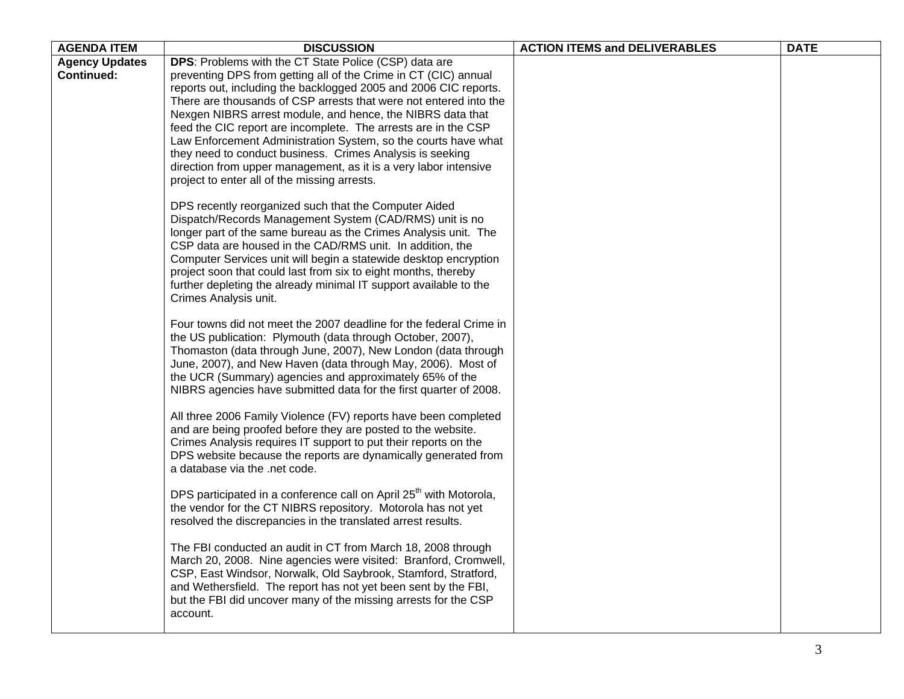| <b>AGENDA ITEM</b>    | <b>DISCUSSION</b>                                                                                                                     | <b>ACTION ITEMS and DELIVERABLES</b> | <b>DATE</b> |
|-----------------------|---------------------------------------------------------------------------------------------------------------------------------------|--------------------------------------|-------------|
| <b>Agency Updates</b> | DPS: Problems with the CT State Police (CSP) data are                                                                                 |                                      |             |
| <b>Continued:</b>     | preventing DPS from getting all of the Crime in CT (CIC) annual                                                                       |                                      |             |
|                       | reports out, including the backlogged 2005 and 2006 CIC reports.<br>There are thousands of CSP arrests that were not entered into the |                                      |             |
|                       | Nexgen NIBRS arrest module, and hence, the NIBRS data that                                                                            |                                      |             |
|                       | feed the CIC report are incomplete. The arrests are in the CSP                                                                        |                                      |             |
|                       | Law Enforcement Administration System, so the courts have what                                                                        |                                      |             |
|                       | they need to conduct business. Crimes Analysis is seeking                                                                             |                                      |             |
|                       | direction from upper management, as it is a very labor intensive<br>project to enter all of the missing arrests.                      |                                      |             |
|                       |                                                                                                                                       |                                      |             |
|                       | DPS recently reorganized such that the Computer Aided                                                                                 |                                      |             |
|                       | Dispatch/Records Management System (CAD/RMS) unit is no                                                                               |                                      |             |
|                       | longer part of the same bureau as the Crimes Analysis unit. The                                                                       |                                      |             |
|                       | CSP data are housed in the CAD/RMS unit. In addition, the<br>Computer Services unit will begin a statewide desktop encryption         |                                      |             |
|                       | project soon that could last from six to eight months, thereby                                                                        |                                      |             |
|                       | further depleting the already minimal IT support available to the                                                                     |                                      |             |
|                       | Crimes Analysis unit.                                                                                                                 |                                      |             |
|                       | Four towns did not meet the 2007 deadline for the federal Crime in                                                                    |                                      |             |
|                       | the US publication: Plymouth (data through October, 2007),                                                                            |                                      |             |
|                       | Thomaston (data through June, 2007), New London (data through                                                                         |                                      |             |
|                       | June, 2007), and New Haven (data through May, 2006). Most of                                                                          |                                      |             |
|                       | the UCR (Summary) agencies and approximately 65% of the<br>NIBRS agencies have submitted data for the first quarter of 2008.          |                                      |             |
|                       |                                                                                                                                       |                                      |             |
|                       | All three 2006 Family Violence (FV) reports have been completed                                                                       |                                      |             |
|                       | and are being proofed before they are posted to the website.                                                                          |                                      |             |
|                       | Crimes Analysis requires IT support to put their reports on the<br>DPS website because the reports are dynamically generated from     |                                      |             |
|                       | a database via the .net code.                                                                                                         |                                      |             |
|                       |                                                                                                                                       |                                      |             |
|                       | DPS participated in a conference call on April 25 <sup>th</sup> with Motorola,                                                        |                                      |             |
|                       | the vendor for the CT NIBRS repository. Motorola has not yet<br>resolved the discrepancies in the translated arrest results.          |                                      |             |
|                       |                                                                                                                                       |                                      |             |
|                       | The FBI conducted an audit in CT from March 18, 2008 through                                                                          |                                      |             |
|                       | March 20, 2008. Nine agencies were visited: Branford, Cromwell,                                                                       |                                      |             |
|                       | CSP, East Windsor, Norwalk, Old Saybrook, Stamford, Stratford,<br>and Wethersfield. The report has not yet been sent by the FBI,      |                                      |             |
|                       | but the FBI did uncover many of the missing arrests for the CSP                                                                       |                                      |             |
|                       | account.                                                                                                                              |                                      |             |
|                       |                                                                                                                                       |                                      |             |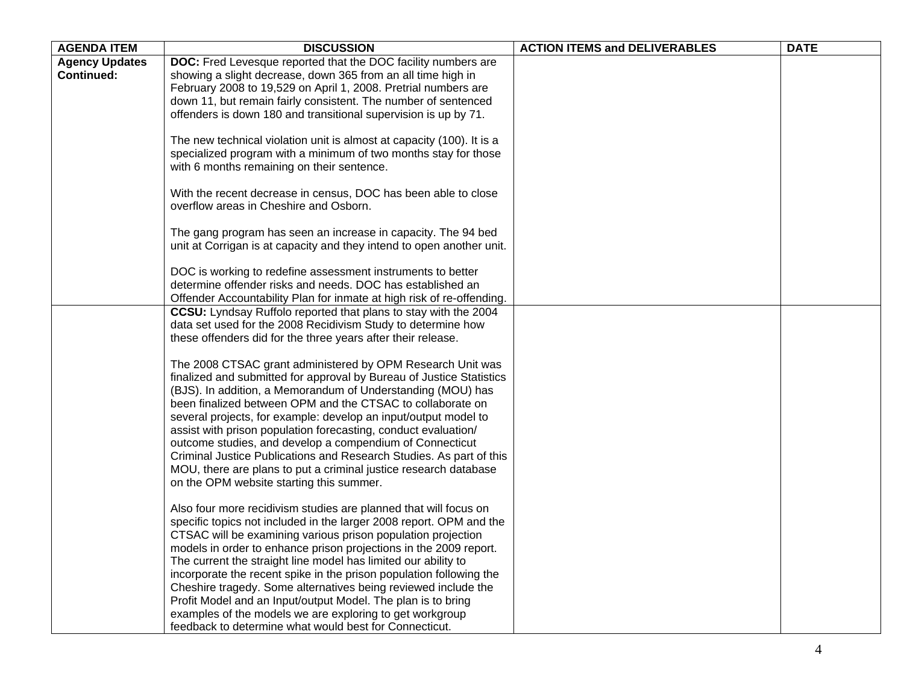| <b>DOC:</b> Fred Levesque reported that the DOC facility numbers are<br><b>Agency Updates</b><br><b>Continued:</b><br>showing a slight decrease, down 365 from an all time high in<br>February 2008 to 19,529 on April 1, 2008. Pretrial numbers are<br>down 11, but remain fairly consistent. The number of sentenced<br>offenders is down 180 and transitional supervision is up by 71.<br>The new technical violation unit is almost at capacity (100). It is a<br>specialized program with a minimum of two months stay for those<br>with 6 months remaining on their sentence.<br>With the recent decrease in census, DOC has been able to close<br>overflow areas in Cheshire and Osborn.<br>The gang program has seen an increase in capacity. The 94 bed<br>unit at Corrigan is at capacity and they intend to open another unit.<br>DOC is working to redefine assessment instruments to better<br>determine offender risks and needs. DOC has established an<br>Offender Accountability Plan for inmate at high risk of re-offending.<br>CCSU: Lyndsay Ruffolo reported that plans to stay with the 2004<br>data set used for the 2008 Recidivism Study to determine how<br>these offenders did for the three years after their release.<br>The 2008 CTSAC grant administered by OPM Research Unit was<br>finalized and submitted for approval by Bureau of Justice Statistics<br>(BJS). In addition, a Memorandum of Understanding (MOU) has<br>been finalized between OPM and the CTSAC to collaborate on<br>several projects, for example: develop an input/output model to<br>assist with prison population forecasting, conduct evaluation/ | <b>AGENDA ITEM</b> | <b>DISCUSSION</b>                                        | <b>ACTION ITEMS and DELIVERABLES</b> | <b>DATE</b> |
|------------------------------------------------------------------------------------------------------------------------------------------------------------------------------------------------------------------------------------------------------------------------------------------------------------------------------------------------------------------------------------------------------------------------------------------------------------------------------------------------------------------------------------------------------------------------------------------------------------------------------------------------------------------------------------------------------------------------------------------------------------------------------------------------------------------------------------------------------------------------------------------------------------------------------------------------------------------------------------------------------------------------------------------------------------------------------------------------------------------------------------------------------------------------------------------------------------------------------------------------------------------------------------------------------------------------------------------------------------------------------------------------------------------------------------------------------------------------------------------------------------------------------------------------------------------------------------------------------------------------------------------------------------|--------------------|----------------------------------------------------------|--------------------------------------|-------------|
|                                                                                                                                                                                                                                                                                                                                                                                                                                                                                                                                                                                                                                                                                                                                                                                                                                                                                                                                                                                                                                                                                                                                                                                                                                                                                                                                                                                                                                                                                                                                                                                                                                                            |                    |                                                          |                                      |             |
|                                                                                                                                                                                                                                                                                                                                                                                                                                                                                                                                                                                                                                                                                                                                                                                                                                                                                                                                                                                                                                                                                                                                                                                                                                                                                                                                                                                                                                                                                                                                                                                                                                                            |                    |                                                          |                                      |             |
|                                                                                                                                                                                                                                                                                                                                                                                                                                                                                                                                                                                                                                                                                                                                                                                                                                                                                                                                                                                                                                                                                                                                                                                                                                                                                                                                                                                                                                                                                                                                                                                                                                                            |                    |                                                          |                                      |             |
|                                                                                                                                                                                                                                                                                                                                                                                                                                                                                                                                                                                                                                                                                                                                                                                                                                                                                                                                                                                                                                                                                                                                                                                                                                                                                                                                                                                                                                                                                                                                                                                                                                                            |                    |                                                          |                                      |             |
|                                                                                                                                                                                                                                                                                                                                                                                                                                                                                                                                                                                                                                                                                                                                                                                                                                                                                                                                                                                                                                                                                                                                                                                                                                                                                                                                                                                                                                                                                                                                                                                                                                                            |                    |                                                          |                                      |             |
|                                                                                                                                                                                                                                                                                                                                                                                                                                                                                                                                                                                                                                                                                                                                                                                                                                                                                                                                                                                                                                                                                                                                                                                                                                                                                                                                                                                                                                                                                                                                                                                                                                                            |                    |                                                          |                                      |             |
|                                                                                                                                                                                                                                                                                                                                                                                                                                                                                                                                                                                                                                                                                                                                                                                                                                                                                                                                                                                                                                                                                                                                                                                                                                                                                                                                                                                                                                                                                                                                                                                                                                                            |                    |                                                          |                                      |             |
|                                                                                                                                                                                                                                                                                                                                                                                                                                                                                                                                                                                                                                                                                                                                                                                                                                                                                                                                                                                                                                                                                                                                                                                                                                                                                                                                                                                                                                                                                                                                                                                                                                                            |                    |                                                          |                                      |             |
|                                                                                                                                                                                                                                                                                                                                                                                                                                                                                                                                                                                                                                                                                                                                                                                                                                                                                                                                                                                                                                                                                                                                                                                                                                                                                                                                                                                                                                                                                                                                                                                                                                                            |                    |                                                          |                                      |             |
|                                                                                                                                                                                                                                                                                                                                                                                                                                                                                                                                                                                                                                                                                                                                                                                                                                                                                                                                                                                                                                                                                                                                                                                                                                                                                                                                                                                                                                                                                                                                                                                                                                                            |                    |                                                          |                                      |             |
|                                                                                                                                                                                                                                                                                                                                                                                                                                                                                                                                                                                                                                                                                                                                                                                                                                                                                                                                                                                                                                                                                                                                                                                                                                                                                                                                                                                                                                                                                                                                                                                                                                                            |                    |                                                          |                                      |             |
|                                                                                                                                                                                                                                                                                                                                                                                                                                                                                                                                                                                                                                                                                                                                                                                                                                                                                                                                                                                                                                                                                                                                                                                                                                                                                                                                                                                                                                                                                                                                                                                                                                                            |                    |                                                          |                                      |             |
|                                                                                                                                                                                                                                                                                                                                                                                                                                                                                                                                                                                                                                                                                                                                                                                                                                                                                                                                                                                                                                                                                                                                                                                                                                                                                                                                                                                                                                                                                                                                                                                                                                                            |                    |                                                          |                                      |             |
|                                                                                                                                                                                                                                                                                                                                                                                                                                                                                                                                                                                                                                                                                                                                                                                                                                                                                                                                                                                                                                                                                                                                                                                                                                                                                                                                                                                                                                                                                                                                                                                                                                                            |                    |                                                          |                                      |             |
|                                                                                                                                                                                                                                                                                                                                                                                                                                                                                                                                                                                                                                                                                                                                                                                                                                                                                                                                                                                                                                                                                                                                                                                                                                                                                                                                                                                                                                                                                                                                                                                                                                                            |                    |                                                          |                                      |             |
|                                                                                                                                                                                                                                                                                                                                                                                                                                                                                                                                                                                                                                                                                                                                                                                                                                                                                                                                                                                                                                                                                                                                                                                                                                                                                                                                                                                                                                                                                                                                                                                                                                                            |                    |                                                          |                                      |             |
|                                                                                                                                                                                                                                                                                                                                                                                                                                                                                                                                                                                                                                                                                                                                                                                                                                                                                                                                                                                                                                                                                                                                                                                                                                                                                                                                                                                                                                                                                                                                                                                                                                                            |                    |                                                          |                                      |             |
|                                                                                                                                                                                                                                                                                                                                                                                                                                                                                                                                                                                                                                                                                                                                                                                                                                                                                                                                                                                                                                                                                                                                                                                                                                                                                                                                                                                                                                                                                                                                                                                                                                                            |                    |                                                          |                                      |             |
|                                                                                                                                                                                                                                                                                                                                                                                                                                                                                                                                                                                                                                                                                                                                                                                                                                                                                                                                                                                                                                                                                                                                                                                                                                                                                                                                                                                                                                                                                                                                                                                                                                                            |                    |                                                          |                                      |             |
|                                                                                                                                                                                                                                                                                                                                                                                                                                                                                                                                                                                                                                                                                                                                                                                                                                                                                                                                                                                                                                                                                                                                                                                                                                                                                                                                                                                                                                                                                                                                                                                                                                                            |                    |                                                          |                                      |             |
|                                                                                                                                                                                                                                                                                                                                                                                                                                                                                                                                                                                                                                                                                                                                                                                                                                                                                                                                                                                                                                                                                                                                                                                                                                                                                                                                                                                                                                                                                                                                                                                                                                                            |                    |                                                          |                                      |             |
|                                                                                                                                                                                                                                                                                                                                                                                                                                                                                                                                                                                                                                                                                                                                                                                                                                                                                                                                                                                                                                                                                                                                                                                                                                                                                                                                                                                                                                                                                                                                                                                                                                                            |                    |                                                          |                                      |             |
|                                                                                                                                                                                                                                                                                                                                                                                                                                                                                                                                                                                                                                                                                                                                                                                                                                                                                                                                                                                                                                                                                                                                                                                                                                                                                                                                                                                                                                                                                                                                                                                                                                                            |                    |                                                          |                                      |             |
|                                                                                                                                                                                                                                                                                                                                                                                                                                                                                                                                                                                                                                                                                                                                                                                                                                                                                                                                                                                                                                                                                                                                                                                                                                                                                                                                                                                                                                                                                                                                                                                                                                                            |                    |                                                          |                                      |             |
|                                                                                                                                                                                                                                                                                                                                                                                                                                                                                                                                                                                                                                                                                                                                                                                                                                                                                                                                                                                                                                                                                                                                                                                                                                                                                                                                                                                                                                                                                                                                                                                                                                                            |                    |                                                          |                                      |             |
|                                                                                                                                                                                                                                                                                                                                                                                                                                                                                                                                                                                                                                                                                                                                                                                                                                                                                                                                                                                                                                                                                                                                                                                                                                                                                                                                                                                                                                                                                                                                                                                                                                                            |                    |                                                          |                                      |             |
|                                                                                                                                                                                                                                                                                                                                                                                                                                                                                                                                                                                                                                                                                                                                                                                                                                                                                                                                                                                                                                                                                                                                                                                                                                                                                                                                                                                                                                                                                                                                                                                                                                                            |                    |                                                          |                                      |             |
|                                                                                                                                                                                                                                                                                                                                                                                                                                                                                                                                                                                                                                                                                                                                                                                                                                                                                                                                                                                                                                                                                                                                                                                                                                                                                                                                                                                                                                                                                                                                                                                                                                                            |                    | outcome studies, and develop a compendium of Connecticut |                                      |             |
| Criminal Justice Publications and Research Studies. As part of this                                                                                                                                                                                                                                                                                                                                                                                                                                                                                                                                                                                                                                                                                                                                                                                                                                                                                                                                                                                                                                                                                                                                                                                                                                                                                                                                                                                                                                                                                                                                                                                        |                    |                                                          |                                      |             |
| MOU, there are plans to put a criminal justice research database                                                                                                                                                                                                                                                                                                                                                                                                                                                                                                                                                                                                                                                                                                                                                                                                                                                                                                                                                                                                                                                                                                                                                                                                                                                                                                                                                                                                                                                                                                                                                                                           |                    |                                                          |                                      |             |
| on the OPM website starting this summer.                                                                                                                                                                                                                                                                                                                                                                                                                                                                                                                                                                                                                                                                                                                                                                                                                                                                                                                                                                                                                                                                                                                                                                                                                                                                                                                                                                                                                                                                                                                                                                                                                   |                    |                                                          |                                      |             |
|                                                                                                                                                                                                                                                                                                                                                                                                                                                                                                                                                                                                                                                                                                                                                                                                                                                                                                                                                                                                                                                                                                                                                                                                                                                                                                                                                                                                                                                                                                                                                                                                                                                            |                    |                                                          |                                      |             |
| Also four more recidivism studies are planned that will focus on                                                                                                                                                                                                                                                                                                                                                                                                                                                                                                                                                                                                                                                                                                                                                                                                                                                                                                                                                                                                                                                                                                                                                                                                                                                                                                                                                                                                                                                                                                                                                                                           |                    |                                                          |                                      |             |
| specific topics not included in the larger 2008 report. OPM and the                                                                                                                                                                                                                                                                                                                                                                                                                                                                                                                                                                                                                                                                                                                                                                                                                                                                                                                                                                                                                                                                                                                                                                                                                                                                                                                                                                                                                                                                                                                                                                                        |                    |                                                          |                                      |             |
| CTSAC will be examining various prison population projection                                                                                                                                                                                                                                                                                                                                                                                                                                                                                                                                                                                                                                                                                                                                                                                                                                                                                                                                                                                                                                                                                                                                                                                                                                                                                                                                                                                                                                                                                                                                                                                               |                    |                                                          |                                      |             |
| models in order to enhance prison projections in the 2009 report.<br>The current the straight line model has limited our ability to                                                                                                                                                                                                                                                                                                                                                                                                                                                                                                                                                                                                                                                                                                                                                                                                                                                                                                                                                                                                                                                                                                                                                                                                                                                                                                                                                                                                                                                                                                                        |                    |                                                          |                                      |             |
| incorporate the recent spike in the prison population following the                                                                                                                                                                                                                                                                                                                                                                                                                                                                                                                                                                                                                                                                                                                                                                                                                                                                                                                                                                                                                                                                                                                                                                                                                                                                                                                                                                                                                                                                                                                                                                                        |                    |                                                          |                                      |             |
| Cheshire tragedy. Some alternatives being reviewed include the                                                                                                                                                                                                                                                                                                                                                                                                                                                                                                                                                                                                                                                                                                                                                                                                                                                                                                                                                                                                                                                                                                                                                                                                                                                                                                                                                                                                                                                                                                                                                                                             |                    |                                                          |                                      |             |
| Profit Model and an Input/output Model. The plan is to bring                                                                                                                                                                                                                                                                                                                                                                                                                                                                                                                                                                                                                                                                                                                                                                                                                                                                                                                                                                                                                                                                                                                                                                                                                                                                                                                                                                                                                                                                                                                                                                                               |                    |                                                          |                                      |             |
| examples of the models we are exploring to get workgroup                                                                                                                                                                                                                                                                                                                                                                                                                                                                                                                                                                                                                                                                                                                                                                                                                                                                                                                                                                                                                                                                                                                                                                                                                                                                                                                                                                                                                                                                                                                                                                                                   |                    |                                                          |                                      |             |
| feedback to determine what would best for Connecticut.                                                                                                                                                                                                                                                                                                                                                                                                                                                                                                                                                                                                                                                                                                                                                                                                                                                                                                                                                                                                                                                                                                                                                                                                                                                                                                                                                                                                                                                                                                                                                                                                     |                    |                                                          |                                      |             |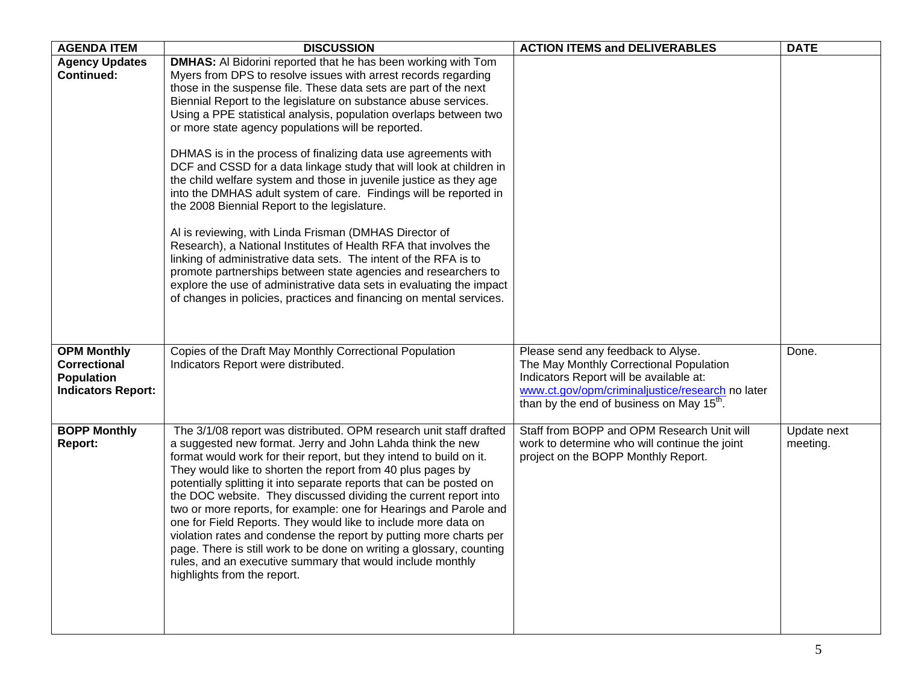| <b>AGENDA ITEM</b>                                                                          | <b>DISCUSSION</b>                                                                                                                                                                                                                                                                                                                                                                                                                                                                                                                                                                                                                                                                                                                                                                                                                                                                                                                                                                                                                                                                                                                                               | <b>ACTION ITEMS and DELIVERABLES</b>                                                                                                                                                                                                  | <b>DATE</b>             |
|---------------------------------------------------------------------------------------------|-----------------------------------------------------------------------------------------------------------------------------------------------------------------------------------------------------------------------------------------------------------------------------------------------------------------------------------------------------------------------------------------------------------------------------------------------------------------------------------------------------------------------------------------------------------------------------------------------------------------------------------------------------------------------------------------------------------------------------------------------------------------------------------------------------------------------------------------------------------------------------------------------------------------------------------------------------------------------------------------------------------------------------------------------------------------------------------------------------------------------------------------------------------------|---------------------------------------------------------------------------------------------------------------------------------------------------------------------------------------------------------------------------------------|-------------------------|
| <b>Agency Updates</b><br><b>Continued:</b>                                                  | <b>DMHAS:</b> Al Bidorini reported that he has been working with Tom<br>Myers from DPS to resolve issues with arrest records regarding<br>those in the suspense file. These data sets are part of the next<br>Biennial Report to the legislature on substance abuse services.<br>Using a PPE statistical analysis, population overlaps between two<br>or more state agency populations will be reported.<br>DHMAS is in the process of finalizing data use agreements with<br>DCF and CSSD for a data linkage study that will look at children in<br>the child welfare system and those in juvenile justice as they age<br>into the DMHAS adult system of care. Findings will be reported in<br>the 2008 Biennial Report to the legislature.<br>Al is reviewing, with Linda Frisman (DMHAS Director of<br>Research), a National Institutes of Health RFA that involves the<br>linking of administrative data sets. The intent of the RFA is to<br>promote partnerships between state agencies and researchers to<br>explore the use of administrative data sets in evaluating the impact<br>of changes in policies, practices and financing on mental services. |                                                                                                                                                                                                                                       |                         |
| <b>OPM Monthly</b><br><b>Correctional</b><br><b>Population</b><br><b>Indicators Report:</b> | Copies of the Draft May Monthly Correctional Population<br>Indicators Report were distributed.                                                                                                                                                                                                                                                                                                                                                                                                                                                                                                                                                                                                                                                                                                                                                                                                                                                                                                                                                                                                                                                                  | Please send any feedback to Alyse.<br>The May Monthly Correctional Population<br>Indicators Report will be available at:<br>www.ct.gov/opm/criminaljustice/research no later<br>than by the end of business on May 15 <sup>th</sup> . | Done.                   |
| <b>BOPP Monthly</b><br>Report:                                                              | The 3/1/08 report was distributed. OPM research unit staff drafted<br>a suggested new format. Jerry and John Lahda think the new<br>format would work for their report, but they intend to build on it.<br>They would like to shorten the report from 40 plus pages by<br>potentially splitting it into separate reports that can be posted on<br>the DOC website. They discussed dividing the current report into<br>two or more reports, for example: one for Hearings and Parole and<br>one for Field Reports. They would like to include more data on<br>violation rates and condense the report by putting more charts per<br>page. There is still work to be done on writing a glossary, counting<br>rules, and an executive summary that would include monthly<br>highlights from the report.                                                                                                                                                                                                                                                                                                                                                            | Staff from BOPP and OPM Research Unit will<br>work to determine who will continue the joint<br>project on the BOPP Monthly Report.                                                                                                    | Update next<br>meeting. |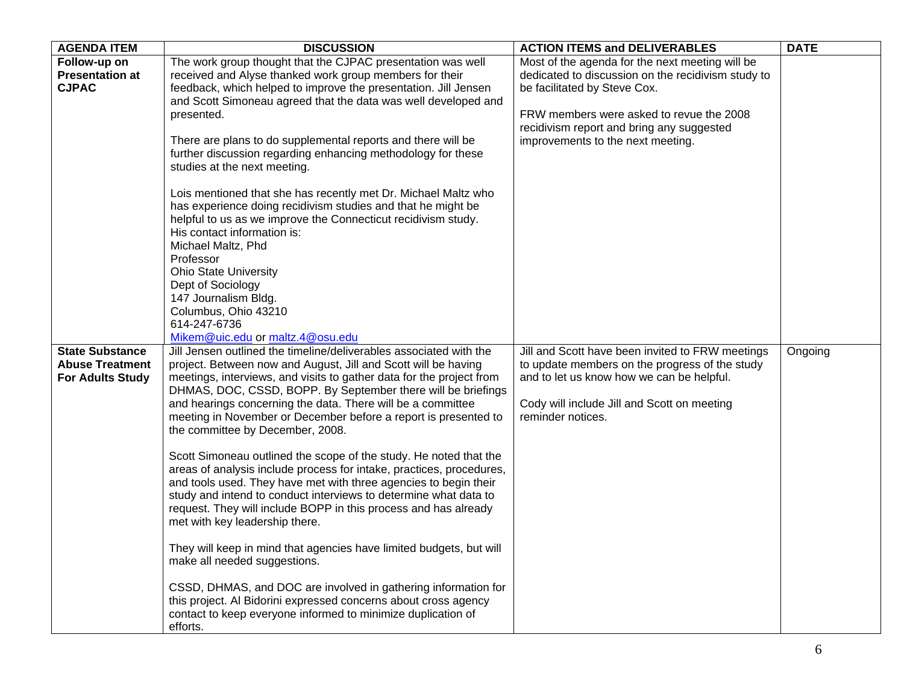| <b>AGENDA ITEM</b>      | <b>DISCUSSION</b>                                                                                   | <b>ACTION ITEMS and DELIVERABLES</b>               | <b>DATE</b> |
|-------------------------|-----------------------------------------------------------------------------------------------------|----------------------------------------------------|-------------|
| Follow-up on            | The work group thought that the CJPAC presentation was well                                         | Most of the agenda for the next meeting will be    |             |
| <b>Presentation at</b>  | received and Alyse thanked work group members for their                                             | dedicated to discussion on the recidivism study to |             |
| <b>CJPAC</b>            | feedback, which helped to improve the presentation. Jill Jensen                                     | be facilitated by Steve Cox.                       |             |
|                         | and Scott Simoneau agreed that the data was well developed and                                      |                                                    |             |
|                         | presented.                                                                                          | FRW members were asked to revue the 2008           |             |
|                         |                                                                                                     | recidivism report and bring any suggested          |             |
|                         | There are plans to do supplemental reports and there will be                                        | improvements to the next meeting.                  |             |
|                         | further discussion regarding enhancing methodology for these                                        |                                                    |             |
|                         | studies at the next meeting.                                                                        |                                                    |             |
|                         |                                                                                                     |                                                    |             |
|                         | Lois mentioned that she has recently met Dr. Michael Maltz who                                      |                                                    |             |
|                         | has experience doing recidivism studies and that he might be                                        |                                                    |             |
|                         | helpful to us as we improve the Connecticut recidivism study.                                       |                                                    |             |
|                         | His contact information is:                                                                         |                                                    |             |
|                         | Michael Maltz, Phd                                                                                  |                                                    |             |
|                         | Professor<br><b>Ohio State University</b>                                                           |                                                    |             |
|                         | Dept of Sociology                                                                                   |                                                    |             |
|                         | 147 Journalism Bldg.                                                                                |                                                    |             |
|                         | Columbus, Ohio 43210                                                                                |                                                    |             |
|                         | 614-247-6736                                                                                        |                                                    |             |
|                         | Mikem@uic.edu or maltz.4@osu.edu                                                                    |                                                    |             |
| <b>State Substance</b>  | Jill Jensen outlined the timeline/deliverables associated with the                                  | Jill and Scott have been invited to FRW meetings   | Ongoing     |
| <b>Abuse Treatment</b>  | project. Between now and August, Jill and Scott will be having                                      | to update members on the progress of the study     |             |
| <b>For Adults Study</b> | meetings, interviews, and visits to gather data for the project from                                | and to let us know how we can be helpful.          |             |
|                         | DHMAS, DOC, CSSD, BOPP. By September there will be briefings                                        |                                                    |             |
|                         | and hearings concerning the data. There will be a committee                                         | Cody will include Jill and Scott on meeting        |             |
|                         | meeting in November or December before a report is presented to                                     | reminder notices.                                  |             |
|                         | the committee by December, 2008.                                                                    |                                                    |             |
|                         |                                                                                                     |                                                    |             |
|                         | Scott Simoneau outlined the scope of the study. He noted that the                                   |                                                    |             |
|                         | areas of analysis include process for intake, practices, procedures,                                |                                                    |             |
|                         | and tools used. They have met with three agencies to begin their                                    |                                                    |             |
|                         | study and intend to conduct interviews to determine what data to                                    |                                                    |             |
|                         | request. They will include BOPP in this process and has already                                     |                                                    |             |
|                         | met with key leadership there.                                                                      |                                                    |             |
|                         |                                                                                                     |                                                    |             |
|                         | They will keep in mind that agencies have limited budgets, but will<br>make all needed suggestions. |                                                    |             |
|                         |                                                                                                     |                                                    |             |
|                         | CSSD, DHMAS, and DOC are involved in gathering information for                                      |                                                    |             |
|                         | this project. Al Bidorini expressed concerns about cross agency                                     |                                                    |             |
|                         | contact to keep everyone informed to minimize duplication of                                        |                                                    |             |
|                         | efforts.                                                                                            |                                                    |             |
|                         |                                                                                                     |                                                    |             |